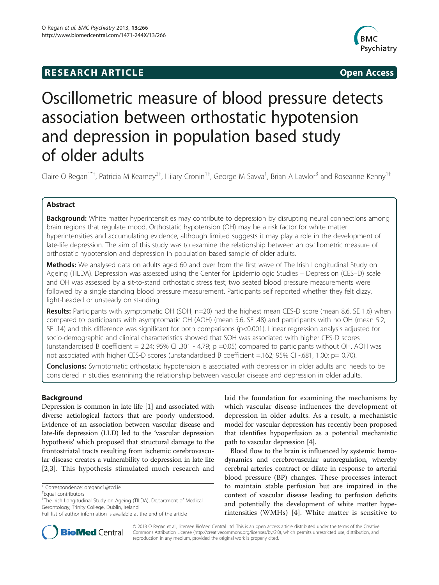# **RESEARCH ARTICLE Example 2014 CONSIDERING CONSIDERING CONSIDERING CONSIDERING CONSIDERING CONSIDERING CONSIDERING CONSIDERING CONSIDERING CONSIDERING CONSIDERING CONSIDERING CONSIDERING CONSIDERING CONSIDERING CONSIDE**



# Oscillometric measure of blood pressure detects association between orthostatic hypotension and depression in population based study of older adults

Claire O Regan<sup>1\*†</sup>, Patricia M Kearney<sup>2†</sup>, Hilary Cronin<sup>1†</sup>, George M Savva<sup>1</sup>, Brian A Lawlor<sup>3</sup> and Roseanne Kenny<sup>1†</sup>

# Abstract

Background: White matter hyperintensities may contribute to depression by disrupting neural connections among brain regions that regulate mood. Orthostatic hypotension (OH) may be a risk factor for white matter hyperintensities and accumulating evidence, although limited suggests it may play a role in the development of late-life depression. The aim of this study was to examine the relationship between an oscillometric measure of orthostatic hypotension and depression in population based sample of older adults.

Methods: We analysed data on adults aged 60 and over from the first wave of The Irish Longitudinal Study on Ageing (TILDA). Depression was assessed using the Center for Epidemiologic Studies – Depression (CES–D) scale and OH was assessed by a sit-to-stand orthostatic stress test; two seated blood pressure measurements were followed by a single standing blood pressure measurement. Participants self reported whether they felt dizzy, light-headed or unsteady on standing.

Results: Participants with symptomatic OH (SOH, n=20) had the highest mean CES-D score (mean 8.6, SE 1.6) when compared to participants with asymptomatic OH (AOH) (mean 5.6, SE .48) and participants with no OH (mean 5.2, SE .14) and this difference was significant for both comparisons (p<0.001). Linear regression analysis adjusted for socio-demographic and clinical characteristics showed that SOH was associated with higher CES-D scores (unstandardised B coefficient =  $2.24$ ;  $95\%$  CI .301 -  $4.79$ ; p =0.05) compared to participants without OH. AOH was not associated with higher CES-D scores (unstandardised B coefficient =.162; 95% CI -.681, 1.00; p= 0.70).

**Conclusions:** Symptomatic orthostatic hypotension is associated with depression in older adults and needs to be considered in studies examining the relationship between vascular disease and depression in older adults.

# Background

Depression is common in late life [\[1\]](#page-6-0) and associated with diverse aetiological factors that are poorly understood. Evidence of an association between vascular disease and late-life depression (LLD) led to the 'vascular depression hypothesis' which proposed that structural damage to the frontostriatal tracts resulting from ischemic cerebrovascular disease creates a vulnerability to depression in late life [[2,3\]](#page-6-0). This hypothesis stimulated much research and

\* Correspondence: [oreganc1@tcd.ie](mailto:oreganc1@tcd.ie) †

laid the foundation for examining the mechanisms by which vascular disease influences the development of depression in older adults. As a result, a mechanistic model for vascular depression has recently been proposed that identifies hypoperfusion as a potential mechanistic path to vascular depression [\[4](#page-6-0)].

Blood flow to the brain is influenced by systemic hemodynamics and cerebrovascular autoregulation, whereby cerebral arteries contract or dilate in response to arterial blood pressure (BP) changes. These processes interact to maintain stable perfusion but are impaired in the context of vascular disease leading to perfusion deficits and potentially the development of white matter hyperintensities (WMHs) [[4](#page-6-0)]. White matter is sensitive to



© 2013 O Regan et al.; licensee BioMed Central Ltd. This is an open access article distributed under the terms of the Creative Commons Attribution License [\(http://creativecommons.org/licenses/by/2.0\)](http://creativecommons.org/licenses/by/2.0), which permits unrestricted use, distribution, and reproduction in any medium, provided the original work is properly cited.

Equal contributors

<sup>&</sup>lt;sup>1</sup>The Irish Longitudinal Study on Ageing (TILDA), Department of Medical Gerontology, Trinity College, Dublin, Ireland

Full list of author information is available at the end of the article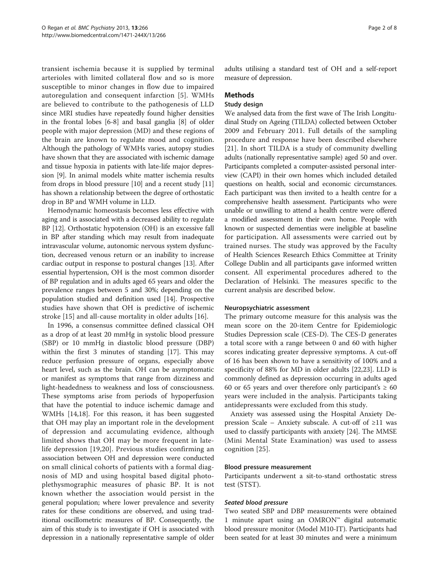transient ischemia because it is supplied by terminal arterioles with limited collateral flow and so is more susceptible to minor changes in flow due to impaired autoregulation and consequent infarction [[5\]](#page-6-0). WMHs are believed to contribute to the pathogenesis of LLD since MRI studies have repeatedly found higher densities in the frontal lobes [\[6](#page-6-0)-[8](#page-6-0)] and basal ganglia [\[8](#page-6-0)] of older people with major depression (MD) and these regions of the brain are known to regulate mood and cognition. Although the pathology of WMHs varies, autopsy studies have shown that they are associated with ischemic damage and tissue hypoxia in patients with late-life major depression [\[9](#page-6-0)]. In animal models white matter ischemia results from drops in blood pressure [\[10\]](#page-6-0) and a recent study [[11](#page-6-0)] has shown a relationship between the degree of orthostatic drop in BP and WMH volume in LLD.

Hemodynamic homeostasis becomes less effective with aging and is associated with a decreased ability to regulate BP [\[12\]](#page-6-0). Orthostatic hypotension (OH) is an excessive fall in BP after standing which may result from inadequate intravascular volume, autonomic nervous system dysfunction, decreased venous return or an inability to increase cardiac output in response to postural changes [\[13\]](#page-6-0). After essential hypertension, OH is the most common disorder of BP regulation and in adults aged 65 years and older the prevalence ranges between 5 and 30%; depending on the population studied and definition used [\[14](#page-6-0)]. Prospective studies have shown that OH is predictive of ischemic stroke [\[15](#page-6-0)] and all-cause mortality in older adults [\[16](#page-6-0)].

In 1996, a consensus committee defined classical OH as a drop of at least 20 mmHg in systolic blood pressure (SBP) or 10 mmHg in diastolic blood pressure (DBP) within the first 3 minutes of standing [\[17](#page-6-0)]. This may reduce perfusion pressure of organs, especially above heart level, such as the brain. OH can be asymptomatic or manifest as symptoms that range from dizziness and light-headedness to weakness and loss of consciousness. These symptoms arise from periods of hypoperfusion that have the potential to induce ischemic damage and WMHs [[14,18\]](#page-6-0). For this reason, it has been suggested that OH may play an important role in the development of depression and accumulating evidence, although limited shows that OH may be more frequent in latelife depression [[19,20](#page-7-0)]. Previous studies confirming an association between OH and depression were conducted on small clinical cohorts of patients with a formal diagnosis of MD and using hospital based digital photoplethysmographic measures of phasic BP. It is not known whether the association would persist in the general population; where lower prevalence and severity rates for these conditions are observed, and using traditional oscillometric measures of BP. Consequently, the aim of this study is to investigate if OH is associated with depression in a nationally representative sample of older adults utilising a standard test of OH and a self-report measure of depression.

# Methods

### Study design

We analysed data from the first wave of The Irish Longitudinal Study on Ageing (TILDA) collected between October 2009 and February 2011. Full details of the sampling procedure and response have been described elsewhere [[21\]](#page-7-0). In short TILDA is a study of community dwelling adults (nationally representative sample) aged 50 and over. Participants completed a computer-assisted personal interview (CAPI) in their own homes which included detailed questions on health, social and economic circumstances. Each participant was then invited to a health centre for a comprehensive health assessment. Participants who were unable or unwilling to attend a health centre were offered a modified assessment in their own home. People with known or suspected dementias were ineligible at baseline for participation. All assessments were carried out by trained nurses. The study was approved by the Faculty of Health Sciences Research Ethics Committee at Trinity College Dublin and all participants gave informed written consent. All experimental procedures adhered to the Declaration of Helsinki. The measures specific to the current analysis are described below.

#### Neuropsychiatric assessment

The primary outcome measure for this analysis was the mean score on the 20-item Centre for Epidemiologic Studies Depression scale (CES-D). The CES-D generates a total score with a range between 0 and 60 with higher scores indicating greater depressive symptoms. A cut-off of 16 has been shown to have a sensitivity of 100% and a specificity of 88% for MD in older adults [\[22,23](#page-7-0)]. LLD is commonly defined as depression occurring in adults aged 60 or 65 years and over therefore only participant's  $\geq 60$ years were included in the analysis. Participants taking antidepressants were excluded from this study.

Anxiety was assessed using the Hospital Anxiety Depression Scale – Anxiety subscale. A cut-off of ≥11 was used to classify participants with anxiety [\[24](#page-7-0)]. The MMSE (Mini Mental State Examination) was used to assess cognition [[25](#page-7-0)].

### Blood pressure measurement

Participants underwent a sit-to-stand orthostatic stress test (STST).

#### Seated blood pressure

Two seated SBP and DBP measurements were obtained 1 minute apart using an OMRON™ digital automatic blood pressure monitor (Model M10-IT). Participants had been seated for at least 30 minutes and were a minimum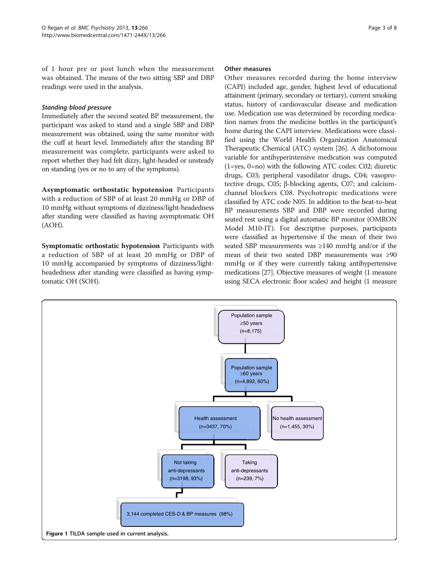<span id="page-2-0"></span>of 1 hour pre or post lunch when the measurement was obtained. The means of the two sitting SBP and DBP readings were used in the analysis.

# Standing blood pressure

Immediately after the second seated BP measurement, the participant was asked to stand and a single SBP and DBP measurement was obtained, using the same monitor with the cuff at heart level. Immediately after the standing BP measurement was complete, participants were asked to report whether they had felt dizzy, light-headed or unsteady on standing (yes or no to any of the symptoms).

Asymptomatic orthostatic hypotension Participants with a reduction of SBP of at least 20 mmHg or DBP of 10 mmHg without symptoms of dizziness/light-headedness after standing were classified as having asymptomatic OH (AOH).

Symptomatic orthostatic hypotension Participants with a reduction of SBP of at least 20 mmHg or DBP of 10 mmHg accompanied by symptoms of dizziness/lightheadedness after standing were classified as having symptomatic OH (SOH).

### Other measures

Other measures recorded during the home interview (CAPI) included age, gender, highest level of educational attainment (primary, secondary or tertiary), current smoking status, history of cardiovascular disease and medication use. Medication use was determined by recording medication names from the medicine bottles in the participant's home during the CAPI interview. Medications were classified using the World Health Organization Anatomical Therapeutic Chemical (ATC) system [\[26](#page-7-0)]. A dichotomous variable for antihyperintensive medication was computed (1=yes, 0=no) with the following ATC codes: C02; diuretic drugs, C03; peripheral vasodilator drugs, C04; vasoprotective drugs, C05; β-blocking agents, C07; and calciumchannel blockers C08. Psychotropic medications were classified by ATC code N05. In addition to the beat-to-beat BP measurements SBP and DBP were recorded during seated rest using a digital automatic BP monitor (OMRON Model M10-IT). For descriptive purposes, participants were classified as hypertensive if the mean of their two seated SBP measurements was ≥140 mmHg and/or if the mean of their two seated DBP measurements was ≥90 mmHg or if they were currently taking antihypertensive medications [\[27\]](#page-7-0). Objective measures of weight (1 measure using SECA electronic floor scales) and height (1 measure

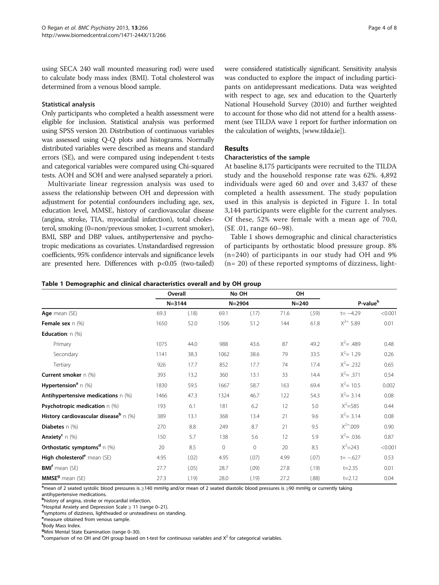using SECA 240 wall mounted measuring rod) were used to calculate body mass index (BMI). Total cholesterol was determined from a venous blood sample.

### Statistical analysis

Only participants who completed a health assessment were eligible for inclusion. Statistical analysis was performed using SPSS version 20. Distribution of continuous variables was assessed using Q-Q plots and histograms. Normally distributed variables were described as means and standard errors (SE), and were compared using independent t-tests and categorical variables were compared using Chi-squared tests. AOH and SOH and were analysed separately a priori.

Multivariate linear regression analysis was used to assess the relationship between OH and depression with adjustment for potential confounders including age, sex, education level, MMSE, history of cardiovascular disease (angina, stroke, TIA, myocardial infarction), total cholesterol, smoking (0=non/previous smoker, 1=current smoker), BMI, SBP and DBP values, antihypertensive and psychotropic medications as covariates. Unstandardised regression coefficients, 95% confidence intervals and significance levels are presented here. Differences with p<0.05 (two-tailed) were considered statistically significant. Sensitivity analysis was conducted to explore the impact of including participants on antidepressant medications. Data was weighted with respect to age, sex and education to the Quarterly National Household Survey (2010) and further weighted to account for those who did not attend for a health assessment (see TILDA wave 1 report for further information on the calculation of weights, [\[www.tilda.ie](http://www.tilda.ie)]).

# Results

# Characteristics of the sample

At baseline 8,175 participants were recruited to the TILDA study and the household response rate was 62%. 4,892 individuals were aged 60 and over and 3,437 of these completed a health assessment. The study population used in this analysis is depicted in Figure [1](#page-2-0). In total 3,144 participants were eligible for the current analyses. Of these, 52% were female with a mean age of 70.0, (SE .01, range 60–98).

Table 1 shows demographic and clinical characteristics of participants by orthostatic blood pressure group. 8% (n=240) of participants in our study had OH and 9% (n= 20) of these reported symptoms of dizziness, light-

|  | Table 1 Demographic and clinical characteristics overall and by OH group |  |  |  |  |
|--|--------------------------------------------------------------------------|--|--|--|--|
|--|--------------------------------------------------------------------------|--|--|--|--|

|                                              |      | Overall    |              | No OH    |      | OН        |                      |         |
|----------------------------------------------|------|------------|--------------|----------|------|-----------|----------------------|---------|
|                                              |      | $N = 3144$ |              | N=2904   |      | $N = 240$ | P-value <sup>h</sup> |         |
| Age mean (SE)                                | 69.3 | (.18)      | 69.1         | (.17)    | 71.6 | (.59)     | $t = -4.29$          | < 0.001 |
| <b>Female sex</b> $n$ (%)                    | 1650 | 52.0       | 1506         | 51.2     | 144  | 61.8      | $X^{2=}$ 5.89        | 0.01    |
| Education: n (%)                             |      |            |              |          |      |           |                      |         |
| Primary                                      | 1075 | 44.0       | 988          | 43.6     | 87   | 49.2      | $X^2 = .489$         | 0.48    |
| Secondary                                    | 1141 | 38.3       | 1062         | 38.6     | 79   | 33.5      | $X^2$ = 1.29         | 0.26    |
| Tertiary                                     | 926  | 17.7       | 852          | 17.7     | 74   | 17.4      | $X^2 = .232$         | 0.65    |
| <b>Current smoker</b> n (%)                  | 393  | 13.2       | 360          | 13.1     | 33   | 14.4      | $X^2 = .371$         | 0.54    |
| <b>Hypertension</b> <sup>a</sup> n $(\%)$    | 1830 | 59.5       | 1667         | 58.7     | 163  | 69.4      | $X^2$ = 10.5         | 0.002   |
| Antihypertensive medications $n$ (%)         | 1466 | 47.3       | 1324         | 46.7     | 122  | 54.3      | $X^2 = 3.14$         | 0.08    |
| <b>Psychotropic medication</b> n (%)         | 193  | 6.1        | 181          | 6.2      | 12   | 5.0       | $X^2 = 585$          | 0.44    |
| History cardiovascular disease $h \cap (\%)$ | 389  | 13.1       | 368          | 13.4     | 21   | 9.6       | $X^2 = 3.14$         | 0.08    |
| Diabetes n (%)                               | 270  | 8.8        | 249          | 8.7      | 21   | 9.5       | $X^{2} = .009$       | 0.90    |
| <b>Anxiety<sup>c</sup></b> n $(\%)$          | 150  | 5.7        | 138          | 5.6      | 12   | 5.9       | $X^2 = .036$         | 0.87    |
| Orthostatic symptoms <sup>d</sup> $n$ (%)    | 20   | 8.5        | $\mathbf{0}$ | $\Omega$ | 20   | 8.5       | $X^2 = 243$          | < 0.001 |
| High cholesterol <sup>e</sup> mean (SE)      | 4.95 | (.02)      | 4.95         | (.07)    | 4.99 | (.07)     | $t = -.627$          | 0.53    |
| <b>BMIf</b> mean (SE)                        | 27.7 | (.05)      | 28.7         | (.09)    | 27.8 | (.19)     | $t = 2.35$           | 0.01    |
| <b>MMSE<sup>9</sup></b> mean (SE)            | 27.3 | (.19)      | 28.0         | (.19)    | 27.2 | (.88)     | $t = 2.12$           | 0.04    |

a<br>Amean of 2 seated systolic blood pressures is ≥140 mmHg and/or mean of 2 seated diastolic blood pressures is ≥90 mmHg or currently taking antihypertensive medications.

**E**Hospital Anxiety and Depression Scale ≥ 11 (range 0–21).

symptoms of dizziness, lightheaded or unsteadiness on standing.

e measure obtained from venous sample.

**g**Mini Mental State Examination (range 0–30).<br>**h**comparison of no OH and OH group based.

**h** comparison of no OH and OH group based on t-test for continuous variables and  $X^2$  for categorical variables.

b history of angina, stroke or myocardial infarction.

f Body Mass Index.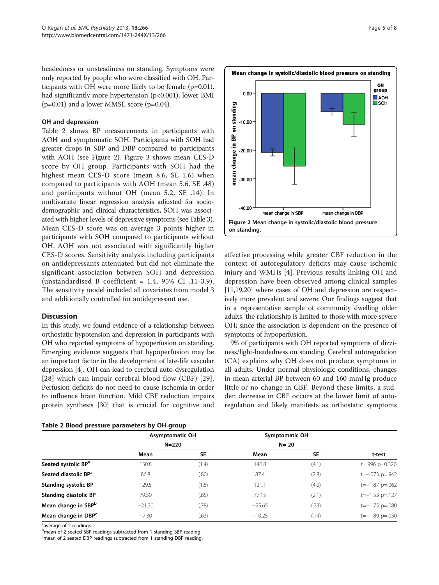headedness or unsteadiness on standing. Symptoms were only reported by people who were classified with OH. Participants with OH were more likely to be female (p=0.01), had significantly more hypertension (p<0.001), lower BMI  $(p=0.01)$  and a lower MMSE score  $(p=0.04)$ .

#### OH and depression

Table 2 shows BP measurements in participants with AOH and symptomatic SOH. Participants with SOH had greater drops in SBP and DBP compared to participants with AOH (see Figure 2). Figure [3](#page-5-0) shows mean CES-D score by OH group. Participants with SOH had the highest mean CES-D score (mean 8.6, SE 1.6) when compared to participants with AOH (mean 5.6, SE .48) and participants without OH (mean 5.2, SE .14). In multivariate linear regression analysis adjusted for sociodemographic and clinical characteristics, SOH was associated with higher levels of depressive symptoms (see Table [3](#page-5-0)). Mean CES-D score was on average 3 points higher in participants with SOH compared to participants without OH. AOH was not associated with significantly higher CES-D scores. Sensitivity analysis including participants on antidepressants attenuated but did not eliminate the significant association between SOH and depression (unstandardised B coefficient = 1.4, 95% CI .11-3.9). The sensitivity model included all covariates from model 3 and additionally controlled for antidepressant use.

#### **Discussion**

In this study, we found evidence of a relationship between orthostatic hypotension and depression in participants with OH who reported symptoms of hypoperfusion on standing. Emerging evidence suggests that hypoperfusion may be an important factor in the development of late-life vascular depression [[4\]](#page-6-0). OH can lead to cerebral auto-dysregulation [[28](#page-7-0)] which can impair cerebral blood flow (CBF) [[29](#page-7-0)]. Perfusion deficits do not need to cause ischemia in order to influence brain function. Mild CBF reduction impairs protein synthesis [\[30\]](#page-7-0) that is crucial for cognitive and

| Table 2 Blood pressure parameters by OH group |  |  |  |  |  |
|-----------------------------------------------|--|--|--|--|--|
|-----------------------------------------------|--|--|--|--|--|



affective processing while greater CBF reduction in the context of autoregulatory deficits may cause ischemic injury and WMHs [[4\]](#page-6-0). Previous results linking OH and depression have been observed among clinical samples [[11](#page-6-0)[,19,20](#page-7-0)] where cases of OH and depression are respectively more prevalent and severe. Our findings suggest that in a representative sample of community dwelling older adults, the relationship is limited to those with more severe OH; since the association is dependent on the presence of symptoms of hypoperfusion.

9% of participants with OH reported symptoms of dizziness/light-headedness on standing. Cerebral autoregulation (CA) explains why OH does not produce symptoms in all adults. Under normal physiologic conditions, changes in mean arterial BP between 60 and 160 mmHg produce little or no change in CBF. Beyond these limits, a sudden decrease in CBF occurs at the lower limit of autoregulation and likely manifests as orthostatic symptoms

|                                  | <b>Asymptomatic OH</b> |       | Symptomatic OH |           |                        |
|----------------------------------|------------------------|-------|----------------|-----------|------------------------|
|                                  | $N = 220$              |       | $N=20$         |           |                        |
|                                  | Mean                   | SE    | Mean           | <b>SE</b> | t-test                 |
| Seated systolic BP <sup>a</sup>  | 150.8                  | (1.4) | 146.8          | (4.1)     | $t = .996$ $p = 0.320$ |
| Seated diastolic BP <sup>a</sup> | 86.8                   | (.80) | 87.4           | (2.8)     | $t=-.073$ p=.942       |
| <b>Standing systolic BP</b>      | 129.5                  | (1.5) | 121.1          | (4.0)     | $t=-1.87$ p=.062       |
| <b>Standing diastolic BP</b>     | 79.50                  | (.85) | 77.15          | (2.1)     | $t=-1.53$ p=.127       |
| Mean change in SBP <sup>b</sup>  | $-21.30$               | (78)  | $-25.65$       | (23)      | $t=-1.75$ p=.080       |
| Mean change in DBP <sup>c</sup>  | $-7.30$                | (.63) | $-10.25$       | (.14)     | $t=-1.89$ p=.050       |

<sup>a</sup>average of 2 readings.

b<sub>mean</sub> of 2 seated SBP readings subtracted from 1 standing SBP reading.

<sup>c</sup>mean of 2 seated DBP readings subtracted from 1 standing DBP reading.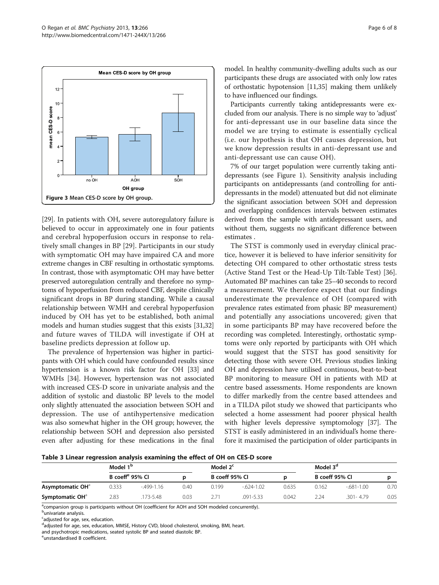<span id="page-5-0"></span>

[[29](#page-7-0)]. In patients with OH, severe autoregulatory failure is believed to occur in approximately one in four patients and cerebral hypoperfusion occurs in response to relatively small changes in BP [[29\]](#page-7-0). Participants in our study with symptomatic OH may have impaired CA and more extreme changes in CBF resulting in orthostatic symptoms. In contrast, those with asymptomatic OH may have better preserved autoregulation centrally and therefore no symptoms of hypoperfusion from reduced CBF, despite clinically significant drops in BP during standing. While a causal relationship between WMH and cerebral hypoperfusion induced by OH has yet to be established, both animal models and human studies suggest that this exists [\[31,32](#page-7-0)] and future waves of TILDA will investigate if OH at baseline predicts depression at follow up.

The prevalence of hypertension was higher in participants with OH which could have confounded results since hypertension is a known risk factor for OH [\[33](#page-7-0)] and WMHs [\[34](#page-7-0)]. However, hypertension was not associated with increased CES-D score in univariate analysis and the addition of systolic and diastolic BP levels to the model only slightly attenuated the association between SOH and depression. The use of antihypertensive medication was also somewhat higher in the OH group; however, the relationship between SOH and depression also persisted even after adjusting for these medications in the final model. In healthy community-dwelling adults such as our participants these drugs are associated with only low rates of orthostatic hypotension [[11,](#page-6-0)[35](#page-7-0)] making them unlikely to have influenced our findings.

Participants currently taking antidepressants were excluded from our analysis. There is no simple way to 'adjust' for anti-depressant use in our baseline data since the model we are trying to estimate is essentially cyclical (i.e. our hypothesis is that OH causes depression, but we know depression results in anti-depressant use and anti-depressant use can cause OH).

7% of our target population were currently taking antidepressants (see Figure [1\)](#page-2-0). Sensitivity analysis including participants on antidepressants (and controlling for antidepressants in the model) attenuated but did not eliminate the significant association between SOH and depression and overlapping confidences intervals between estimates derived from the sample with antidepressant users, and without them, suggests no significant difference between estimates .

The STST is commonly used in everyday clinical practice, however it is believed to have inferior sensitivity for detecting OH compared to other orthostatic stress tests (Active Stand Test or the Head-Up Tilt-Table Test) [\[36](#page-7-0)]. Automated BP machines can take 25–40 seconds to record a measurement. We therefore expect that our findings underestimate the prevalence of OH (compared with prevalence rates estimated from phasic BP measurement) and potentially any associations uncovered; given that in some participants BP may have recovered before the recording was completed. Interestingly, orthostatic symptoms were only reported by participants with OH which would suggest that the STST has good sensitivity for detecting those with severe OH. Previous studies linking OH and depression have utilised continuous, beat-to-beat BP monitoring to measure OH in patients with MD at centre based assessments. Home respondents are known to differ markedly from the centre based attendees and in a TILDA pilot study we showed that participants who selected a home assessment had poorer physical health with higher levels depressive symptomology [[37\]](#page-7-0). The STST is easily administered in an individual's home therefore it maximised the participation of older participants in

|  | Table 3 Linear regression analysis examining the effect of OH on CES-D score |  |  |  |  |
|--|------------------------------------------------------------------------------|--|--|--|--|
|  |                                                                              |  |  |  |  |

|                              | Model 1 <sup>b</sup>        |             |      | Model 2 <sup>c</sup> |               |       | Model 3 <sup>d</sup> |               |      |
|------------------------------|-----------------------------|-------------|------|----------------------|---------------|-------|----------------------|---------------|------|
|                              | B coeff <sup>e</sup> 95% CI |             |      | B coeff 95% CI       |               |       | B coeff 95% CI       |               |      |
| Asymptomatic OH <sup>d</sup> | 0.333                       | $-499-1.16$ | 0.40 | 0.199                | $-624-1.02$   | 0.635 | 0.162                | $-681 - 1.00$ | 0.70 |
| Symptomatic OH <sup>a</sup>  | 2.83                        | 173-5.48    | 0.03 |                      | $.091 - 5.33$ | 0.042 | 2.24                 | $.301 - 4.79$ | 0.05 |

<sup>a</sup>comparsion group is participants without OH (coefficient for AOH and SOH modeled concurrently).

<sup>b</sup>univariate analysis.

<sup>c</sup>adjusted for age, sex, education.

<sup>d</sup>adjusted for age, sex, education, MMSE, History CVD, blood cholesterol, smoking, BMI, heart.

e unstandardised B coefficient.

and psychotropic medications, seated systolic BP and seated diastolic BP.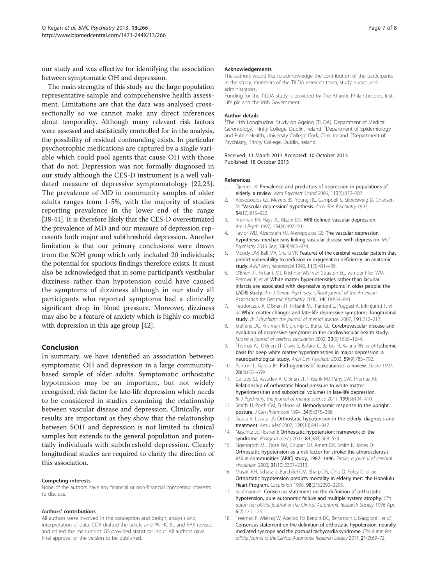<span id="page-6-0"></span>our study and was effective for identifying the association between symptomatic OH and depression.

The main strengths of this study are the large population representative sample and comprehensive health assessment. Limitations are that the data was analysed crosssectionally so we cannot make any direct inferences about temporality. Although many relevant risk factors were assessed and statistically controlled for in the analysis, the possibility of residual confounding exists. In particular psychotrophic medications are captured by a single variable which could pool agents that cause OH with those that do not. Depression was not formally diagnosed in our study although the CES-D instrument is a well validated measure of depressive symptomatology [[22,23](#page-7-0)]. The prevalence of MD in community samples of older adults ranges from 1-5%, with the majority of studies reporting prevalence in the lower end of the range [[38](#page-7-0)-[41\]](#page-7-0). It is therefore likely that the CES-D overestimated the prevalence of MD and our measure of depression represents both major and subthreshold depression. Another limitation is that our primary conclusions were drawn from the SOH group which only included 20 individuals; the potential for spurious findings therefore exists. It must also be acknowledged that in some participant's vestibular dizziness rather than hypotension could have caused the symptoms of dizziness although in our study all participants who reported symptoms had a clinically significant drop in blood pressure. Moreover, dizziness may also be a feature of anxiety which is highly co-morbid with depression in this age group [\[42\]](#page-7-0).

#### Conclusion

In summary, we have identified an association between symptomatic OH and depression in a large communitybased sample of older adults. Symptomatic orthostatic hypotension may be an important, but not widely recognised, risk factor for late-life depression which needs to be considered in studies examining the relationship between vascular disease and depression. Clinically, our results are important as they show that the relationship between SOH and depression is not limited to clinical samples but extends to the general population and potentially individuals with subthreshold depression. Clearly longitudinal studies are required to clarify the direction of this association.

#### Competing interests

None of the authors have any financial or non-financial competing interests to disclose.

#### Authors' contributions

All authors were involved in the conception and design, analysis and interpretation of data. COR drafted the article and PK HC BL and RAK revised and edited the manuscript. GS provided statistical input. All authors gave final approval of the version to be published.

#### Acknowledgements

The authors would like to acknowledge the contribution of the participants in the study, members of the TILDA research team, study nurses and administrators.

Funding for the TILDA study is provided by The Atlantic Philanthropies, Irish Life plc and the Irish Government.

#### Author details

<sup>1</sup>The Irish Longitudinal Study on Ageing (TILDA), Department of Medical Gerontology, Trinity College, Dublin, Ireland. <sup>2</sup>Department of Epidemiology and Public Health, University College Cork, Cork, Ireland. <sup>3</sup>Department of Psychiatry, Trinity College, Dublin, Ireland.

#### Received: 11 March 2013 Accepted: 10 October 2013 Published: 18 October 2013

#### References

- Djernes JK: Prevalence and predictors of depression in populations of elderly: a review. Acta Psychiatr Scand 2006, 113(5):372–387.
- 2. Alexopoulos GS, Meyers BS, Young RC, Campbell S, Silbersweig D, Charlson M: 'Vascular depression' hypothesis. Arch Gen Psychiatry 1997, 54(10):915–922.
- 3. Krishnan KR, Hays JC, Blazer DG: MRI-defined vascular depression. Am J Psych 1997, 154(4):497–501.
- Taylor WD, Aizenstein HJ, Alexopoulos GS: The vascular depression hypothesis: mechanisms linking vascular disease with depression. Mol Psychiatry 2013 Sep, 18(9):963–974.
- Moody DM, Bell MA, Challa VR: Features of the cerebral vascular pattern that predict vulnerability to perfusion or oxygenation deficiency: an anatomic study. AJNR Am j neuroradiol 1990, 11(3):431–439.
- 6. O'Brien JT, Firbank MJ, Krishnan MS, van Straaten EC, van der Flier WM, Petrovic K, et al: White matter hyperintensities rather than lacunar infarcts are associated with depressive symptoms in older people: the LADIS study. Am J Geriatr Psychiatry: official journal of the American Association for Geriatric Psychiatry 2006, 14(10):834–841.
- 7. Teodorczuk A, O'Brien JT, Firbank MJ, Pantoni L, Poggesi A, Erkinjuntti T, et al: White matter changes and late-life depressive symptoms: longitudinal study. Br J Psychiatr: the journal of mental science. 2007, 191:212-217.
- 8. Steffens DC, Krishnan KR, Crump C, Burke GL: Cerebrovascular disease and evolution of depressive symptoms in the cardiovascular health study. Stroke; a journal of cerebral circulation 2002, 33(6):1636–1644.
- 9. Thomas AJ, O'Brien JT, Davis S, Ballard C, Barber R, Kalaria RN, et al: Ischemic basis for deep white matter hyperintensities in major depression: a neuropathological study. Arch Gen Psychiatr 2002, 59(9):785–792.
- 10. Pantoni L, Garcia JH: Pathogenesis of leukoaraiosis: a review. Stroke 1997, 28(3):652–659.
- 11. Colloby SJ, Vasudev A, O'Brien JT, Firbank MJ, Parry SW, Thomas AJ: Relationship of orthostatic blood pressure to white matter hyperintensities and subcortical volumes in late-life depression. Br J Psychiatry: the journal of mental science 2011, 199(5):404–410.
- 12. Smith JJ, Porth CM, Erickson M: Hemodynamic response to the upright posture. J Clin Pharmacol 1994, 34(5):375–386.
- 13. Gupta V, Lipsitz LA: Orthostatic hypotension in the elderly: diagnosis and treatment. Am J Med 2007, 120(10):841–847.
- 14. Naschitz JE, Rosner I: Orthostatic hypotension: framework of the syndrome. Postgrad med j 2007, 83(983):568–574.
- 15. Eigenbrodt ML, Rose KM, Couper DJ, Arnett DK, Smith R, Jones D: Orthostatic hypotension as a risk factor for stroke: the atherosclerosis risk in communities (ARIC) study, 1987–1996. Stroke; a journal of cerebral circulation 2000, 31(10):2307–2313.
- 16. Masaki KH, Schatz IJ, Burchfiel CM, Sharp DS, Chiu D, Foley D, et al: Orthostatic hypotension predicts mortality in elderly men: the Honolulu Heart Program. Circulation 1998, 98(21):2290–2295.
- 17. Kaufmann H: Consensus statement on the definition of orthostatic hypotension, pure autonomic failure and multiple system atrophy. Clin auton res: official journal of the Clinical Autonomic Research Society 1996 Apr, 6(2):125–126.
- 18. Freeman R, Wieling W, Axelrod FB, Benditt DG, Benarroch E, Biaggioni I, et al: Consensus statement on the definition of orthostatic hypotension, neurally mediated syncope and the postural tachycardia syndrome. Clin Auton Res: official journal of the Clinical Autonomic Research Society 2011, 21(2):69–72.